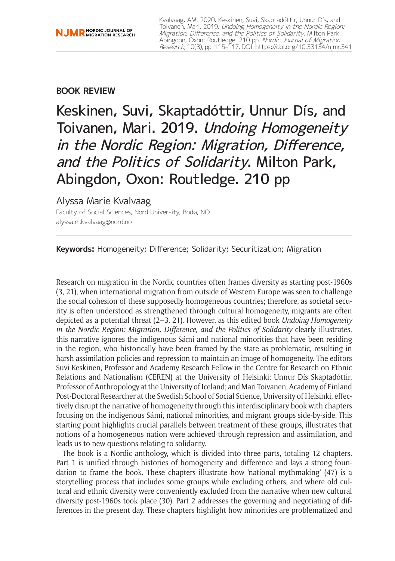## **BOOK REVIEW**

Keskinen, Suvi, Skaptadóttir, Unnur Dís, and Toivanen, Mari. 2019. Undoing Homogeneity in the Nordic Region: Migration, Difference, and the Politics of Solidarity. Milton Park, Abingdon, Oxon: Routledge. 210 pp

## Alyssa Marie Kvalvaag

Faculty of Social Sciences, Nord University, Bodø, NO [alyssa.m.kvalvaag@nord.no](mailto:alyssa.m.kvalvaag@nord.no)

**Keywords:** Homogeneity; Difference; Solidarity; Securitization; Migration

Research on migration in the Nordic countries often frames diversity as starting post-1960s (3, 21), when international migration from outside of Western Europe was seen to challenge the social cohesion of these supposedly homogeneous countries; therefore, as societal security is often understood as strengthened through cultural homogeneity, migrants are often depicted as a potential threat (2–3, 21). However, as this edited book *Undoing Homogeneity in the Nordic Region: Migration, Difference, and the Politics of Solidarity* clearly illustrates, this narrative ignores the indigenous Sámi and national minorities that have been residing in the region, who historically have been framed by the state as problematic, resulting in harsh assimilation policies and repression to maintain an image of homogeneity. The editors Suvi Keskinen, Professor and Academy Research Fellow in the Centre for Research on Ethnic Relations and Nationalism (CEREN) at the University of Helsinki; Unnur Dís Skaptadóttir, Professor of Anthropology at the University of Iceland; and Mari Toivanen, Academy of Finland Post-Doctoral Researcher at the Swedish School of Social Science, University of Helsinki, effectively disrupt the narrative of homogeneity through this interdisciplinary book with chapters focusing on the indigenous Sámi, national minorities, and migrant groups side-by-side. This starting point highlights crucial parallels between treatment of these groups, illustrates that notions of a homogeneous nation were achieved through repression and assimilation, and leads us to new questions relating to solidarity.

The book is a Nordic anthology, which is divided into three parts, totaling 12 chapters. Part 1 is unified through histories of homogeneity and difference and lays a strong foundation to frame the book. These chapters illustrate how 'national mythmaking' (47) is a storytelling process that includes some groups while excluding others, and where old cultural and ethnic diversity were conveniently excluded from the narrative when new cultural diversity post-1960s took place (30). Part 2 addresses the governing and negotiating of differences in the present day. These chapters highlight how minorities are problematized and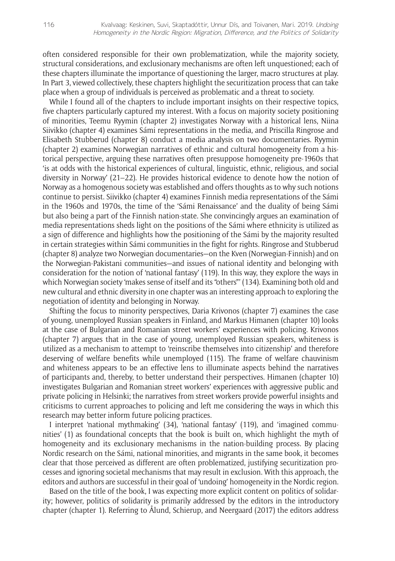often considered responsible for their own problematization, while the majority society, structural considerations, and exclusionary mechanisms are often left unquestioned; each of these chapters illuminate the importance of questioning the larger, macro structures at play. In Part 3, viewed collectively, these chapters highlight the securitization process that can take place when a group of individuals is perceived as problematic and a threat to society.

While I found all of the chapters to include important insights on their respective topics, five chapters particularly captured my interest. With a focus on majority society positioning of minorities, Teemu Ryymin (chapter 2) investigates Norway with a historical lens, Niina Siivikko (chapter 4) examines Sámi representations in the media, and Priscilla Ringrose and Elisabeth Stubberud (chapter 8) conduct a media analysis on two documentaries. Ryymin (chapter 2) examines Norwegian narratives of ethnic and cultural homogeneity from a historical perspective, arguing these narratives often presuppose homogeneity pre-1960s that 'is at odds with the historical experiences of cultural, linguistic, ethnic, religious, and social diversity in Norway' (21–22). He provides historical evidence to denote how the notion of Norway as a homogenous society was established and offers thoughts as to why such notions continue to persist. Siivikko (chapter 4) examines Finnish media representations of the Sámi in the 1960s and 1970s, the time of the 'Sámi Renaissance' and the duality of being Sámi but also being a part of the Finnish nation-state. She convincingly argues an examination of media representations sheds light on the positions of the Sámi where ethnicity is utilized as a sign of difference and highlights how the positioning of the Sámi by the majority resulted in certain strategies within Sámi communities in the fight for rights. Ringrose and Stubberud (chapter 8) analyze two Norwegian documentaries—on the Kven (Norwegian-Finnish) and on the Norwegian-Pakistani communities—and issues of national identity and belonging with consideration for the notion of 'national fantasy' (119). In this way, they explore the ways in which Norwegian society 'makes sense of itself and its "others"' (134). Examining both old and new cultural and ethnic diversity in one chapter was an interesting approach to exploring the negotiation of identity and belonging in Norway.

Shifting the focus to minority perspectives, Daria Krivonos (chapter 7) examines the case of young, unemployed Russian speakers in Finland, and Markus Himanen (chapter 10) looks at the case of Bulgarian and Romanian street workers' experiences with policing. Krivonos (chapter 7) argues that in the case of young, unemployed Russian speakers, whiteness is utilized as a mechanism to attempt to 'reinscribe themselves into citizenship' and therefore deserving of welfare benefits while unemployed (115). The frame of welfare chauvinism and whiteness appears to be an effective lens to illuminate aspects behind the narratives of participants and, thereby, to better understand their perspectives. Himanen (chapter 10) investigates Bulgarian and Romanian street workers' experiences with aggressive public and private policing in Helsinki; the narratives from street workers provide powerful insights and criticisms to current approaches to policing and left me considering the ways in which this research may better inform future policing practices.

I interpret 'national mythmaking' (34), 'national fantasy' (119), and 'imagined communities' (1) as foundational concepts that the book is built on, which highlight the myth of homogeneity and its exclusionary mechanisms in the nation-building process. By placing Nordic research on the Sámi, national minorities, and migrants in the same book, it becomes clear that those perceived as different are often problematized, justifying securitization processes and ignoring societal mechanisms that may result in exclusion. With this approach, the editors and authors are successful in their goal of 'undoing' homogeneity in the Nordic region.

Based on the title of the book, I was expecting more explicit content on politics of solidarity; however, politics of solidarity is primarily addressed by the editors in the introductory chapter (chapter 1). Referring to Ålund, Schierup, and Neergaard (2017) the editors address